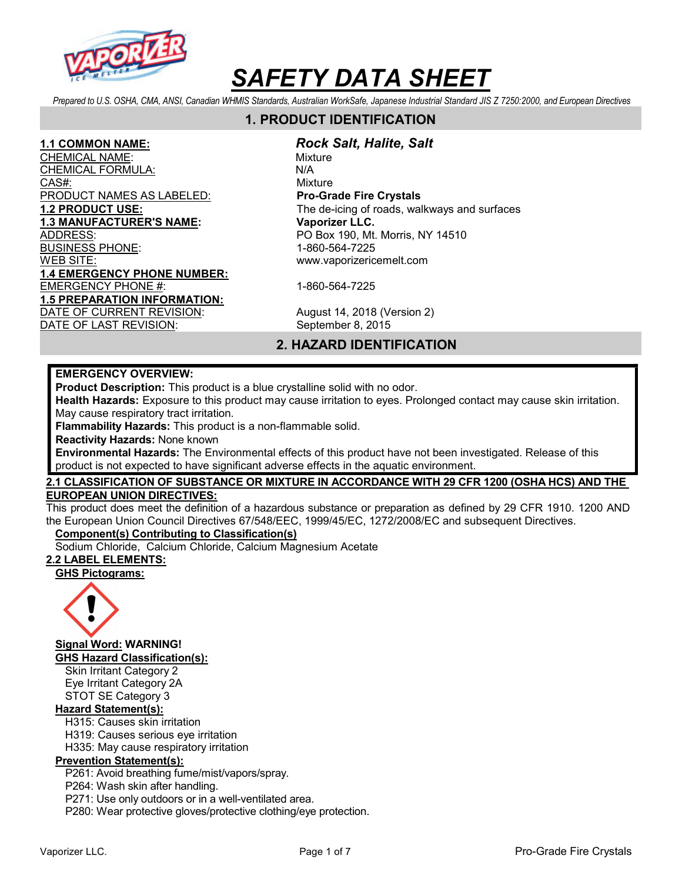

Prepared to U.S. OSHA, CMA, ANSI, Canadian WHMIS Standards, Australian WorkSafe, Japanese Industrial Standard JIS Z 7250:2000, and European Directives

# 1. PRODUCT IDENTIFICATION

CHEMICAL NAME: We are a set of the Mixture CHEMI<u>CAL FORMULA:</u> N/A CAS#: CAS CONSIDERED A CONSIDERATION OF THE CONSIDERED AT A CONSIDERATION OF THE CONSIDERED AT A CONSIDERATION PRODUCT NAMES AS LABELED: Pro-Grade Fire Crystals 1.3 MANUFACTURER'S NAME: Vaporizer LLC. ADDRESS: PO Box 190, Mt. Morris, NY 14510 BUSINESS PHONE: 1-860-564-7225 WEB SITE: www.vaporizericemelt.com 1.4 EMERGENCY PHONE NUMBER: EMERGENCY PHONE #: 1-860-564-7225 1.5 PREPARATION INFORMATION: DATE OF CURRENT REVISION: August 14, 2018 (Version 2)

### 1.1 COMMON NAME: Rock Salt, Halite, Salt

1.2 PRODUCT USE: The de-icing of roads, walkways and surfaces

DATE OF LAST REVISION: September 8, 2015

# 2. HAZARD IDENTIFICATION

#### EMERGENCY OVERVIEW:

Product Description: This product is a blue crystalline solid with no odor.

Health Hazards: Exposure to this product may cause irritation to eyes. Prolonged contact may cause skin irritation. May cause respiratory tract irritation.

Flammability Hazards: This product is a non-flammable solid.

Reactivity Hazards: None known

Environmental Hazards: The Environmental effects of this product have not been investigated. Release of this product is not expected to have significant adverse effects in the aquatic environment.

#### 2.1 CLASSIFICATION OF SUBSTANCE OR MIXTURE IN ACCORDANCE WITH 29 CFR 1200 (OSHA HCS) AND THE EUROPEAN UNION DIRECTIVES:

This product does meet the definition of a hazardous substance or preparation as defined by 29 CFR 1910. 1200 AND the European Union Council Directives 67/548/EEC, 1999/45/EC, 1272/2008/EC and subsequent Directives.

### Component(s) Contributing to Classification(s)

Sodium Chloride, Calcium Chloride, Calcium Magnesium Acetate

# 2.2 LABEL ELEMENTS:

GHS Pictograms:



Signal Word: WARNING!

GHS Hazard Classification(s):

Skin Irritant Category 2 Eye Irritant Category 2A STOT SE Category 3

# Hazard Statement(s):

H315: Causes skin irritation

H319: Causes serious eye irritation

H335: May cause respiratory irritation

# Prevention Statement(s):

P261: Avoid breathing fume/mist/vapors/spray.

P264: Wash skin after handling.

P271: Use only outdoors or in a well-ventilated area.

P280: Wear protective gloves/protective clothing/eye protection.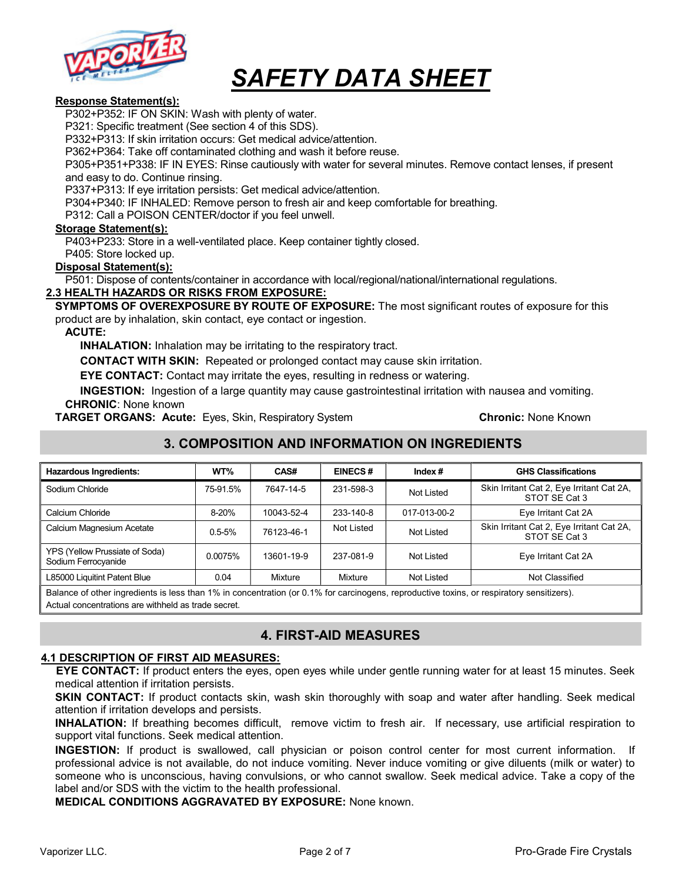

#### Response Statement(s):

P302+P352: IF ON SKIN: Wash with plenty of water.

P321: Specific treatment (See section 4 of this SDS).

P332+P313: If skin irritation occurs: Get medical advice/attention.

P362+P364: Take off contaminated clothing and wash it before reuse.

P305+P351+P338: IF IN EYES: Rinse cautiously with water for several minutes. Remove contact lenses, if present and easy to do. Continue rinsing.

P337+P313: If eye irritation persists: Get medical advice/attention.

P304+P340: IF INHALED: Remove person to fresh air and keep comfortable for breathing.

P312: Call a POISON CENTER/doctor if you feel unwell.

#### Storage Statement(s):

P403+P233: Store in a well-ventilated place. Keep container tightly closed.

P405: Store locked up.

#### Disposal Statement(s):

P501: Dispose of contents/container in accordance with local/regional/national/international regulations.

#### 2.3 HEALTH HAZARDS OR RISKS FROM EXPOSURE:

SYMPTOMS OF OVEREXPOSURE BY ROUTE OF EXPOSURE: The most significant routes of exposure for this product are by inhalation, skin contact, eye contact or ingestion.

#### ACUTE:

INHALATION: Inhalation may be irritating to the respiratory tract.

CONTACT WITH SKIN: Repeated or prolonged contact may cause skin irritation.

EYE CONTACT: Contact may irritate the eyes, resulting in redness or watering.

INGESTION: Ingestion of a large quantity may cause gastrointestinal irritation with nausea and vomiting. CHRONIC: None known

**TARGET ORGANS: Acute:** Eyes, Skin, Respiratory System **Chronic: None Known** Chronic: None Known

# 3. COMPOSITION AND INFORMATION ON INGREDIENTS

| <b>Hazardous Ingredients:</b>                         | WT%        | CAS#       | <b>EINECS#</b> | Index $#$    | <b>GHS Classifications</b>                                 |
|-------------------------------------------------------|------------|------------|----------------|--------------|------------------------------------------------------------|
| Sodium Chloride                                       | 75-91.5%   | 7647-14-5  | 231-598-3      | Not Listed   | Skin Irritant Cat 2, Eye Irritant Cat 2A,<br>STOT SE Cat 3 |
| Calcium Chloride                                      | 8-20%      | 10043-52-4 | 233-140-8      | 017-013-00-2 | Eye Irritant Cat 2A                                        |
| Calcium Magnesium Acetate                             | $0.5 - 5%$ | 76123-46-1 | Not Listed     | Not Listed   | Skin Irritant Cat 2, Eye Irritant Cat 2A,<br>STOT SE Cat 3 |
| YPS (Yellow Prussiate of Soda)<br>Sodium Ferrocyanide | 0.0075%    | 13601-19-9 | 237-081-9      | Not Listed   | Eye Irritant Cat 2A                                        |
| L85000 Liquitint Patent Blue                          | 0.04       | Mixture    | Mixture        | Not Listed   | Not Classified                                             |

Balance of other ingredients is less than 1% in concentration (or 0.1% for carcinogens, reproductive toxins, or respiratory sensitizers). Actual concentrations are withheld as trade secret.

# 4. FIRST-AID MEASURES

#### 4.1 DESCRIPTION OF FIRST AID MEASURES:

EYE CONTACT: If product enters the eyes, open eyes while under gentle running water for at least 15 minutes. Seek medical attention if irritation persists.

SKIN CONTACT: If product contacts skin, wash skin thoroughly with soap and water after handling. Seek medical attention if irritation develops and persists.

INHALATION: If breathing becomes difficult, remove victim to fresh air. If necessary, use artificial respiration to support vital functions. Seek medical attention.

INGESTION: If product is swallowed, call physician or poison control center for most current information. If professional advice is not available, do not induce vomiting. Never induce vomiting or give diluents (milk or water) to someone who is unconscious, having convulsions, or who cannot swallow. Seek medical advice. Take a copy of the label and/or SDS with the victim to the health professional.

MEDICAL CONDITIONS AGGRAVATED BY EXPOSURE: None known.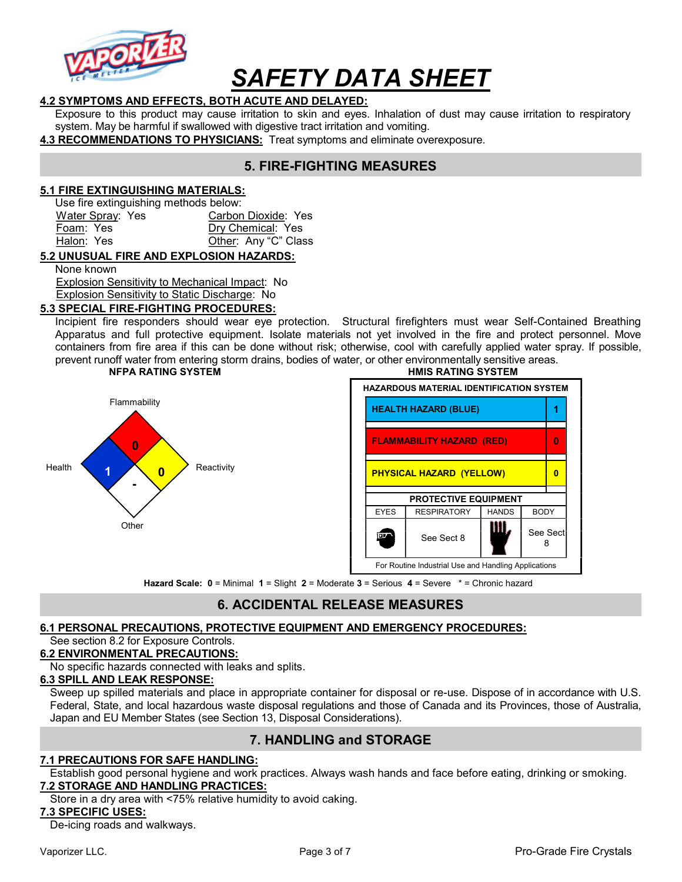

#### 4.2 SYMPTOMS AND EFFECTS, BOTH ACUTE AND DELAYED:

Exposure to this product may cause irritation to skin and eyes. Inhalation of dust may cause irritation to respiratory system. May be harmful if swallowed with digestive tract irritation and vomiting.

4.3 RECOMMENDATIONS TO PHYSICIANS: Treat symptoms and eliminate overexposure.

# 5. FIRE-FIGHTING MEASURES

#### 5.1 FIRE EXTINGUISHING MATERIALS:

Use fire extinguishing methods below:

| Water Spray: Yes | Carbon Dioxide: Yes  |
|------------------|----------------------|
| Foam: Yes        | Dry Chemical: Yes    |
| Halon: Yes       | Other: Any "C" Class |

#### 5.2 UNUSUAL FIRE AND EXPLOSION HAZARDS:

None known

 Explosion Sensitivity to Mechanical Impact: No Explosion Sensitivity to Static Discharge: No

5.3 SPECIAL FIRE-FIGHTING PROCEDURES:

Incipient fire responders should wear eye protection. Structural firefighters must wear Self-Contained Breathing Apparatus and full protective equipment. Isolate materials not yet involved in the fire and protect personnel. Move containers from fire area if this can be done without risk; otherwise, cool with carefully applied water spray. If possible, prevent runoff water from entering storm drains, bodies of water, or other environmentally sensitive areas.



#### NFPA RATING SYSTEM GENERAL METHODS IN THE HAT HAS RATING SYSTEM

# HAZARDOUS MATERIAL IDENTIFICATION SYSTEM FLAMMABILITY HAZARD (RED) 0 PHYSICAL HAZARD (YELLOW) 0 PROTECTIVE EQUIPMENT EYES | RESPIRATORY | HANDS | BODY See Sect  $8$   $\blacksquare$  See Sect fov. 8 For Routine Industrial Use and Handling Applications

Hazard Scale: 0 = Minimal 1 = Slight 2 = Moderate 3 = Serious 4 = Severe \* = Chronic hazard

# 6. ACCIDENTAL RELEASE MEASURES

# 6.1 PERSONAL PRECAUTIONS, PROTECTIVE EQUIPMENT AND EMERGENCY PROCEDURES:

#### See section 8.2 for Exposure Controls.

#### 6.2 ENVIRONMENTAL PRECAUTIONS:

No specific hazards connected with leaks and splits.

#### 6.3 SPILL AND LEAK RESPONSE:

Sweep up spilled materials and place in appropriate container for disposal or re-use. Dispose of in accordance with U.S. Federal, State, and local hazardous waste disposal regulations and those of Canada and its Provinces, those of Australia, Japan and EU Member States (see Section 13, Disposal Considerations).

# 7. HANDLING and STORAGE

#### 7.1 PRECAUTIONS FOR SAFE HANDLING:

Establish good personal hygiene and work practices. Always wash hands and face before eating, drinking or smoking. 7.2 STORAGE AND HANDLING PRACTICES:

Store in a dry area with <75% relative humidity to avoid caking.

#### 7.3 SPECIFIC USES:

De-icing roads and walkways.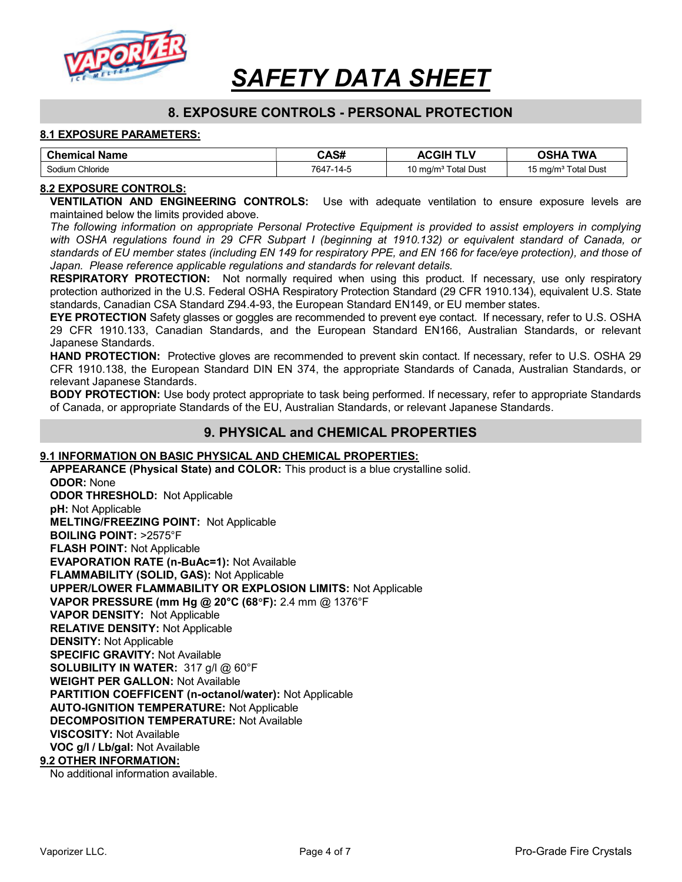

# 8. EXPOSURE CONTROLS - PERSONAL PROTECTION

#### 8.1 EXPOSURE PARAMETERS:

| <b>Chemical Name</b> | CAS#      | <b>ACGIH TLV</b>                | <b>OSHA TWA</b>                 |
|----------------------|-----------|---------------------------------|---------------------------------|
| Sodium Chloride      | 7647-14-5 | 10 mg/m <sup>3</sup> Total Dust | 15 mg/m <sup>3</sup> Total Dust |

#### 8.2 EXPOSURE CONTROLS:

VENTILATION AND ENGINEERING CONTROLS: Use with adequate ventilation to ensure exposure levels are maintained below the limits provided above.

The following information on appropriate Personal Protective Equipment is provided to assist employers in complying with OSHA regulations found in 29 CFR Subpart I (beginning at 1910.132) or equivalent standard of Canada, or standards of EU member states (including EN 149 for respiratory PPE, and EN 166 for face/eye protection), and those of Japan. Please reference applicable regulations and standards for relevant details.

RESPIRATORY PROTECTION: Not normally required when using this product. If necessary, use only respiratory protection authorized in the U.S. Federal OSHA Respiratory Protection Standard (29 CFR 1910.134), equivalent U.S. State standards, Canadian CSA Standard Z94.4-93, the European Standard EN149, or EU member states.

EYE PROTECTION Safety glasses or goggles are recommended to prevent eye contact. If necessary, refer to U.S. OSHA 29 CFR 1910.133, Canadian Standards, and the European Standard EN166, Australian Standards, or relevant Japanese Standards.

HAND PROTECTION: Protective gloves are recommended to prevent skin contact. If necessary, refer to U.S. OSHA 29 CFR 1910.138, the European Standard DIN EN 374, the appropriate Standards of Canada, Australian Standards, or relevant Japanese Standards.

**BODY PROTECTION:** Use body protect appropriate to task being performed. If necessary, refer to appropriate Standards of Canada, or appropriate Standards of the EU, Australian Standards, or relevant Japanese Standards.

### 9. PHYSICAL and CHEMICAL PROPERTIES

#### 9.1 INFORMATION ON BASIC PHYSICAL AND CHEMICAL PROPERTIES:

APPEARANCE (Physical State) and COLOR: This product is a blue crystalline solid. ODOR: None ODOR THRESHOLD: Not Applicable pH: Not Applicable MELTING/FREEZING POINT: Not Applicable BOILING POINT: >2575°F FLASH POINT: Not Applicable EVAPORATION RATE (n-BuAc=1): Not Available FLAMMABILITY (SOLID, GAS): Not Applicable UPPER/LOWER FLAMMABILITY OR EXPLOSION LIMITS: Not Applicable VAPOR PRESSURE (mm Hg @ 20°C (68F): 2.4 mm @ 1376°F VAPOR DENSITY: Not Applicable RELATIVE DENSITY: Not Applicable DENSITY: Not Applicable SPECIFIC GRAVITY: Not Available SOLUBILITY IN WATER: 317 g/l @ 60°F WEIGHT PER GALLON: Not Available PARTITION COEFFICENT (n-octanol/water): Not Applicable AUTO-IGNITION TEMPERATURE: Not Applicable DECOMPOSITION TEMPERATURE: Not Available VISCOSITY: Not Available VOC g/l / Lb/gal: Not Available 9.2 OTHER INFORMATION:

No additional information available.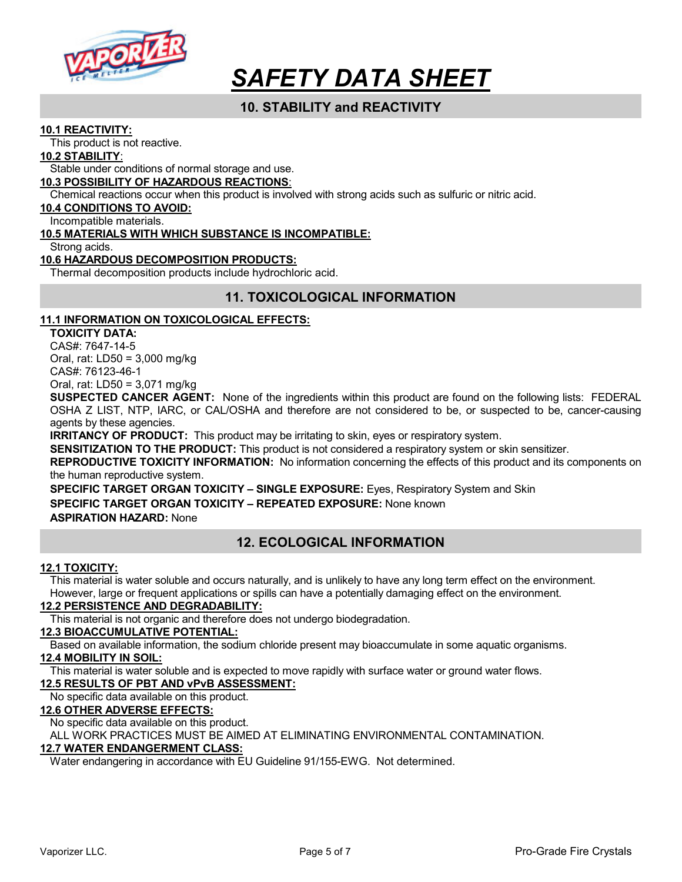

# 10. STABILITY and REACTIVITY

#### 10.1 REACTIVITY:

This product is not reactive.

#### 10.2 STABILITY:

Stable under conditions of normal storage and use.

#### 10.3 POSSIBILITY OF HAZARDOUS REACTIONS:

Chemical reactions occur when this product is involved with strong acids such as sulfuric or nitric acid.

#### 10.4 CONDITIONS TO AVOID:

Incompatible materials.

#### 10.5 MATERIALS WITH WHICH SUBSTANCE IS INCOMPATIBLE:

Strong acids.

#### 10.6 HAZARDOUS DECOMPOSITION PRODUCTS:

Thermal decomposition products include hydrochloric acid.

# 11. TOXICOLOGICAL INFORMATION

#### 11.1 INFORMATION ON TOXICOLOGICAL EFFECTS:

TOXICITY DATA: CAS#: 7647-14-5 Oral, rat: LD50 = 3,000 mg/kg CAS#: 76123-46-1

Oral, rat: LD50 = 3,071 mg/kg

SUSPECTED CANCER AGENT: None of the ingredients within this product are found on the following lists: FEDERAL OSHA Z LIST, NTP, IARC, or CAL/OSHA and therefore are not considered to be, or suspected to be, cancer-causing agents by these agencies.

**IRRITANCY OF PRODUCT:** This product may be irritating to skin, eyes or respiratory system.

**SENSITIZATION TO THE PRODUCT:** This product is not considered a respiratory system or skin sensitizer.

REPRODUCTIVE TOXICITY INFORMATION: No information concerning the effects of this product and its components on the human reproductive system.

SPECIFIC TARGET ORGAN TOXICITY – SINGLE EXPOSURE: Eyes, Respiratory System and Skin SPECIFIC TARGET ORGAN TOXICITY – REPEATED EXPOSURE: None known ASPIRATION HAZARD: None

# 12. ECOLOGICAL INFORMATION

#### 12.1 TOXICITY:

This material is water soluble and occurs naturally, and is unlikely to have any long term effect on the environment. However, large or frequent applications or spills can have a potentially damaging effect on the environment.

#### 12.2 PERSISTENCE AND DEGRADABILITY:

This material is not organic and therefore does not undergo biodegradation.

#### 12.3 BIOACCUMULATIVE POTENTIAL:

Based on available information, the sodium chloride present may bioaccumulate in some aquatic organisms.

#### 12.4 MOBILITY IN SOIL:

This material is water soluble and is expected to move rapidly with surface water or ground water flows.

#### 12.5 RESULTS OF PBT AND vPvB ASSESSMENT:

No specific data available on this product.

#### 12.6 OTHER ADVERSE EFFECTS:

No specific data available on this product.

ALL WORK PRACTICES MUST BE AIMED AT ELIMINATING ENVIRONMENTAL CONTAMINATION.

# 12.7 WATER ENDANGERMENT CLASS:

Water endangering in accordance with EU Guideline 91/155-EWG. Not determined.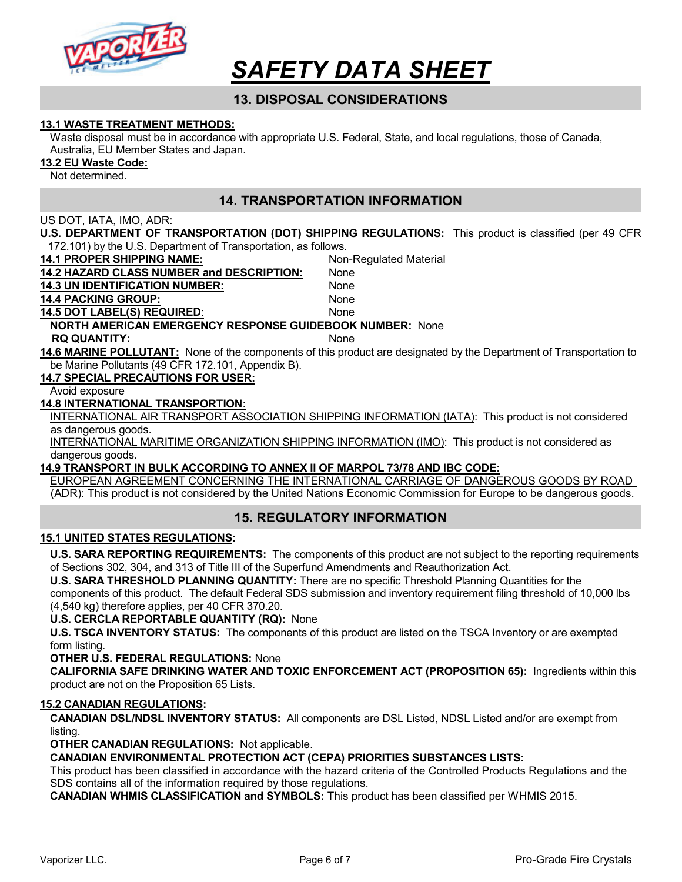

# 13. DISPOSAL CONSIDERATIONS

#### 13.1 WASTE TREATMENT METHODS:

Waste disposal must be in accordance with appropriate U.S. Federal, State, and local regulations, those of Canada, Australia, EU Member States and Japan.

13.2 EU Waste Code:

Not determined.

# 14. TRANSPORTATION INFORMATION

#### US DOT, IATA, IMO, ADR:

U.S. DEPARTMENT OF TRANSPORTATION (DOT) SHIPPING REGULATIONS: This product is classified (per 49 CFR 172.101) by the U.S. Department of Transportation, as follows.

14.1 PROPER SHIPPING NAME: Non-Regulated Material

14.2 HAZARD CLASS NUMBER and DESCRIPTION: None 14.3 UN IDENTIFICATION NUMBER: None 14.4 PACKING GROUP: None 14.5 DOT LABEL(S) REQUIRED: None NORTH AMERICAN EMERGENCY RESPONSE GUIDEBOOK NUMBER: None RQ QUANTITY: None 14.6 MARINE POLLUTANT: None of the components of this product are designated by the Department of Transportation to be Marine Pollutants (49 CFR 172.101, Appendix B). 14.7 SPECIAL PRECAUTIONS FOR USER: Avoid exposure 14.8 INTERNATIONAL TRANSPORTION: INTERNATIONAL AIR TRANSPORT ASSOCIATION SHIPPING INFORMATION (IATA): This product is not considered as dangerous goods. INTERNATIONAL MARITIME ORGANIZATION SHIPPING INFORMATION (IMO): This product is not considered as

dangerous goods.

#### 14.9 TRANSPORT IN BULK ACCORDING TO ANNEX II OF MARPOL 73/78 AND IBC CODE:

EUROPEAN AGREEMENT CONCERNING THE INTERNATIONAL CARRIAGE OF DANGEROUS GOODS BY ROAD (ADR): This product is not considered by the United Nations Economic Commission for Europe to be dangerous goods.

# 15. REGULATORY INFORMATION

#### 15.1 UNITED STATES REGULATIONS:

U.S. SARA REPORTING REQUIREMENTS: The components of this product are not subject to the reporting requirements of Sections 302, 304, and 313 of Title III of the Superfund Amendments and Reauthorization Act.

U.S. SARA THRESHOLD PLANNING QUANTITY: There are no specific Threshold Planning Quantities for the components of this product. The default Federal SDS submission and inventory requirement filing threshold of 10,000 lbs (4,540 kg) therefore applies, per 40 CFR 370.20.

U.S. CERCLA REPORTABLE QUANTITY (RQ): None

U.S. TSCA INVENTORY STATUS: The components of this product are listed on the TSCA Inventory or are exempted form listing.

OTHER U.S. FEDERAL REGULATIONS: None

CALIFORNIA SAFE DRINKING WATER AND TOXIC ENFORCEMENT ACT (PROPOSITION 65): Ingredients within this product are not on the Proposition 65 Lists.

#### 15.2 CANADIAN REGULATIONS:

CANADIAN DSL/NDSL INVENTORY STATUS: All components are DSL Listed, NDSL Listed and/or are exempt from listing.

OTHER CANADIAN REGULATIONS: Not applicable.

CANADIAN ENVIRONMENTAL PROTECTION ACT (CEPA) PRIORITIES SUBSTANCES LISTS:

This product has been classified in accordance with the hazard criteria of the Controlled Products Regulations and the SDS contains all of the information required by those regulations.

CANADIAN WHMIS CLASSIFICATION and SYMBOLS: This product has been classified per WHMIS 2015.